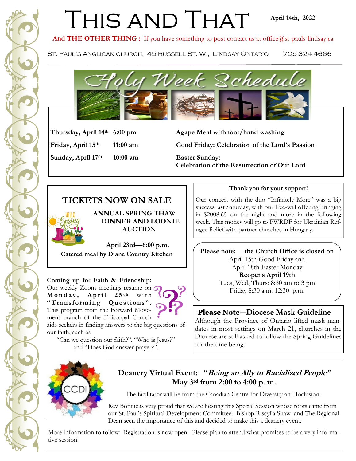# THIS AND THAT

#### **April 14th, 2022**

And THE OTHER THING : If you have something to post contact us at office@st-pauls-lindsay.ca

ST. PAUL'S ANGLICAN CHURCH, 45 RUSSELL ST. W., LINDSAY ONTARIO 705-324-4666



**Sunday, April 17th 10:00 am Easter Sunday:** 

**Thursday, April 14th 6:00 pm Agape Meal with foot/hand washing Friday, April 15th 11:00 am Good Friday: Celebration of the Lord's Passion**

**Celebration of the Resurrection of Our Lord**

## **TICKETS NOW ON SALE**



 **ANNUAL SPRING THAW DINNER AND LOONIE AUCTION** 

 **April 23rd—6:00 p.m. Catered meal by Diane Country Kitchen**

**Coming up for Faith & Friendship:**  Our weekly Zoom meetings resume on G Monday, April 25<sup>th</sup> with "Transforming Questions". This program from the Forward Movement branch of the Episcopal Church

aids seekers in finding answers to the big questions of our faith, such as

"Can we question our faith?", "Who is Jesus?" and "Does God answer prayer?".

#### **Thank you for your support!**

Our concert with the duo "Infinitely More" was a big success last Saturday, with our free-will offering bringing in \$2008.65 on the night and more in the following week. This money will go to PWRDF for Ukrainian Refugee Relief with partner churches in Hungary.

**Please note: the Church Office is closed on**  April 15th Good Friday and April 18th Easter Monday **Reopens April 19th** Tues, Wed, Thurs: 8:30 am to 3 pm Friday 8:30 a.m. 12:30 p.m.

### **Please Note—Diocese Mask Guideline**

Although the Province of Ontario lifted mask mandates in most settings on March 21, churches in the Diocese are still asked to follow the Spring Guidelines for the time being.



**Deanery Virtual Event: "Being an Ally to Racialized People" May 3rd from 2:00 to 4:00 p. m.** 

The facilitator will be from the Canadian Centre for Diversity and Inclusion.

Rev Bonnie is very proud that we are hosting this Special Session whose roots came from our St. Paul's Spiritual Development Committee. Bishop Riscylla Shaw and The Regional Dean seen the importance of this and decided to make this a deanery event.

More information to follow; Registration is now open. Please plan to attend what promises to be a very informative session!